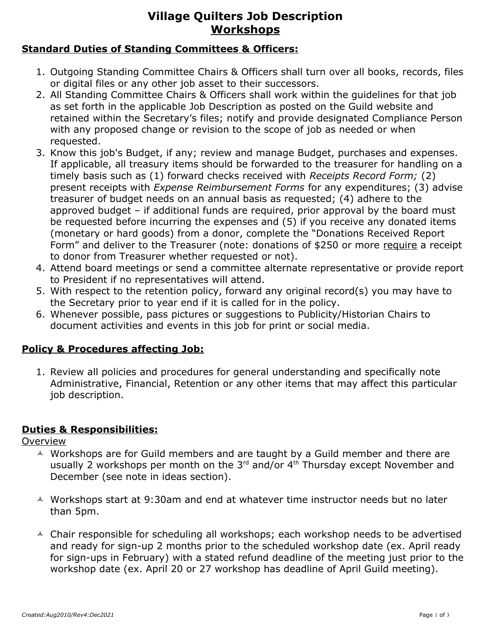## **Village Quilters Job Description Workshops**

## **Standard Duties of Standing Committees & Officers:**

- 1. Outgoing Standing Committee Chairs & Officers shall turn over all books, records, files or digital files or any other job asset to their successors.
- 2. All Standing Committee Chairs & Officers shall work within the guidelines for that job as set forth in the applicable Job Description as posted on the Guild website and retained within the Secretary's files; notify and provide designated Compliance Person with any proposed change or revision to the scope of job as needed or when requested.
- 3. Know this job's Budget, if any; review and manage Budget, purchases and expenses. If applicable, all treasury items should be forwarded to the treasurer for handling on a timely basis such as (1) forward checks received with *Receipts Record Form;* (2) present receipts with *Expense Reimbursement Forms* for any expenditures; (3) advise treasurer of budget needs on an annual basis as requested; (4) adhere to the approved budget – if additional funds are required, prior approval by the board must be requested before incurring the expenses and (5) if you receive any donated items (monetary or hard goods) from a donor, complete the "Donations Received Report Form" and deliver to the Treasurer (note: donations of \$250 or more require a receipt to donor from Treasurer whether requested or not).
- 4. Attend board meetings or send a committee alternate representative or provide report to President if no representatives will attend.
- 5. With respect to the retention policy, forward any original record(s) you may have to the Secretary prior to year end if it is called for in the policy.
- 6. Whenever possible, pass pictures or suggestions to Publicity/Historian Chairs to document activities and events in this job for print or social media.

#### **Policy & Procedures affecting Job:**

1. Review all policies and procedures for general understanding and specifically note Administrative, Financial, Retention or any other items that may affect this particular job description.

## **Duties & Responsibilities:**

**Overview** 

- A Workshops are for Guild members and are taught by a Guild member and there are usually 2 workshops per month on the  $3^{rd}$  and/or  $4^{th}$  Thursday except November and December (see note in ideas section).
- A Workshops start at 9:30am and end at whatever time instructor needs but no later than 5pm.
- $\triangle$  Chair responsible for scheduling all workshops; each workshop needs to be advertised and ready for sign-up 2 months prior to the scheduled workshop date (ex. April ready for sign-ups in February) with a stated refund deadline of the meeting just prior to the workshop date (ex. April 20 or 27 workshop has deadline of April Guild meeting).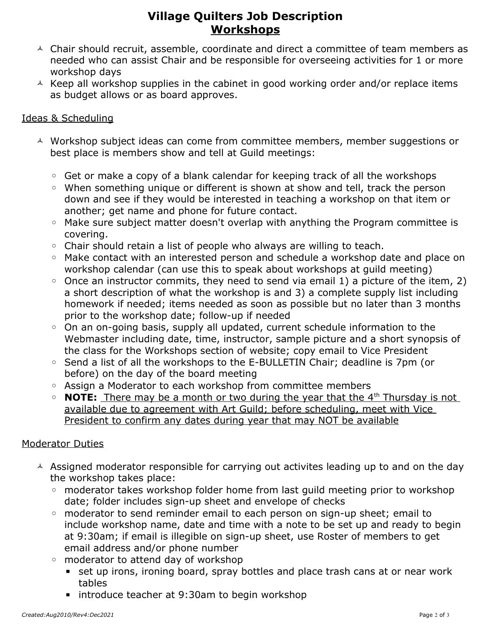## **Village Quilters Job Description Workshops**

- $\triangle$  Chair should recruit, assemble, coordinate and direct a committee of team members as needed who can assist Chair and be responsible for overseeing activities for 1 or more workshop days
- $\triangle$  Keep all workshop supplies in the cabinet in good working order and/or replace items as budget allows or as board approves.

#### Ideas & Scheduling

- A Workshop subject ideas can come from committee members, member suggestions or best place is members show and tell at Guild meetings:
	- Get or make a copy of a blank calendar for keeping track of all the workshops
	- When something unique or different is shown at show and tell, track the person down and see if they would be interested in teaching a workshop on that item or another; get name and phone for future contact.
	- Make sure subject matter doesn't overlap with anything the Program committee is covering.
	- Chair should retain a list of people who always are willing to teach.
	- Make contact with an interested person and schedule a workshop date and place on workshop calendar (can use this to speak about workshops at guild meeting)
	- Once an instructor commits, they need to send via email 1) a picture of the item, 2) a short description of what the workshop is and 3) a complete supply list including homework if needed; items needed as soon as possible but no later than 3 months prior to the workshop date; follow-up if needed
	- On an on-going basis, supply all updated, current schedule information to the Webmaster including date, time, instructor, sample picture and a short synopsis of the class for the Workshops section of website; copy email to Vice President
	- Send a list of all the workshops to the E-BULLETIN Chair; deadline is 7pm (or before) on the day of the board meeting
	- Assign a Moderator to each workshop from committee members
	- **NOTE:** There may be a month or two during the year that the 4th Thursday is not available due to agreement with Art Guild; before scheduling, meet with Vice President to confirm any dates during year that may NOT be available

## Moderator Duties

- $\triangle$  Assigned moderator responsible for carrying out activites leading up to and on the day the workshop takes place:
	- moderator takes workshop folder home from last guild meeting prior to workshop date; folder includes sign-up sheet and envelope of checks
	- moderator to send reminder email to each person on sign-up sheet; email to include workshop name, date and time with a note to be set up and ready to begin at 9:30am; if email is illegible on sign-up sheet, use Roster of members to get email address and/or phone number
	- moderator to attend day of workshop
		- set up irons, ironing board, spray bottles and place trash cans at or near work tables
		- introduce teacher at 9:30am to begin workshop